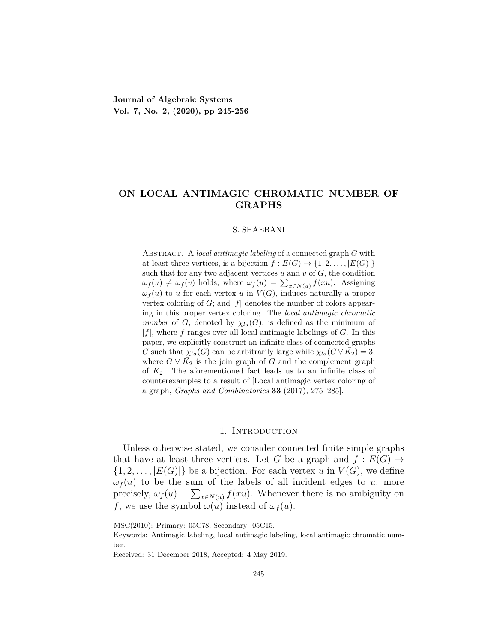**Journal of Algebraic Systems Vol. 7, No. 2, (2020), pp 245-256**

# **ON LOCAL ANTIMAGIC CHROMATIC NUMBER OF GRAPHS**

#### S. SHAEBANI

Abstract. A *local antimagic labeling* of a connected graph *G* with at least three vertices, is a bijection  $f: E(G) \to \{1, 2, \ldots, |E(G)|\}$ such that for any two adjacent vertices  $u$  and  $v$  of  $G$ , the condition  $\omega_f(u) \neq \omega_f(v)$  holds; where  $\omega_f(u) = \sum_{x \in N(u)} f(xu)$ . Assigning  $\omega_f(u)$  to *u* for each vertex *u* in  $V(G)$ , induces naturally a proper vertex coloring of *G*; and *|f|* denotes the number of colors appearing in this proper vertex coloring. The *local antimagic chromatic number* of *G*, denoted by  $\chi_{l}(\mathcal{G})$ , is defined as the minimum of  $|f|$ , where *f* ranges over all local antimagic labelings of *G*. In this paper, we explicitly construct an infinite class of connected graphs *G* such that  $\chi_{la}(G)$  can be arbitrarily large while  $\chi_{la}(G \vee \overline{K_2}) = 3$ , where  $G \vee \overline{K_2}$  is the join graph of *G* and the complement graph of *K*2. The aforementioned fact leads us to an infinite class of counterexamples to a result of [Local antimagic vertex coloring of a graph, *Graphs and Combinatorics* **33** (2017), 275–285].

## 1. INTRODUCTION

Unless otherwise stated, we consider connected finite simple graphs that have at least three vertices. Let *G* be a graph and  $f : E(G) \rightarrow$  $\{1, 2, \ldots, |E(G)|\}$  be a bijection. For each vertex *u* in  $V(G)$ , we define  $\omega_f(u)$  to be the sum of the labels of all incident edges to *u*; more precisely,  $\omega_f(u) = \sum_{x \in N(u)} f(xu)$ . Whenever there is no ambiguity on *f*, we use the symbol  $\omega(u)$  instead of  $\omega_f(u)$ .

MSC(2010): Primary: 05C78; Secondary: 05C15.

Keywords: Antimagic labeling, local antimagic labeling, local antimagic chromatic number.

Received: 31 December 2018, Accepted: 4 May 2019.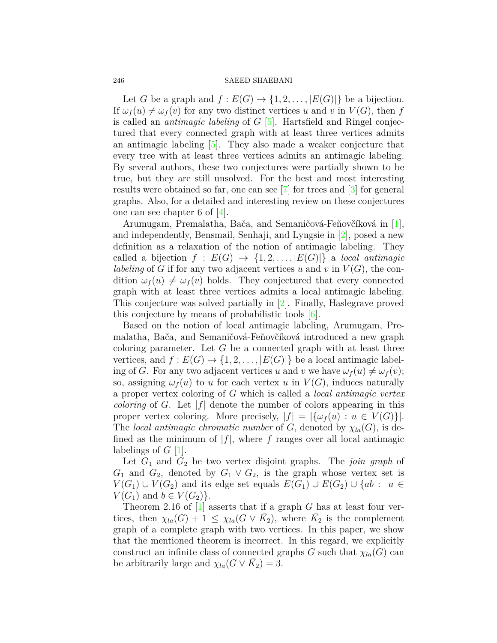#### 246 SAEED SHAEBANI

Let *G* be a graph and  $f: E(G) \to \{1, 2, \ldots, |E(G)|\}$  be a bijection. If  $\omega_f(u) \neq \omega_f(v)$  for any two distinct vertices *u* and *v* in  $V(G)$ , then *f* is called an *antimagic labeling* of *G* [\[5](#page-10-0)]. Hartsfield and Ringel conjectured that every connected graph with at least three vertices admits an antimagic labeling [[5\]](#page-10-0). They also made a weaker conjecture that every tree with at least three vertices admits an antimagic labeling. By several authors, these two conjectures were partially shown to be true, but they are still unsolved. For the best and most interesting results were obtained so far, one can see [[7\]](#page-10-1) for trees and [[3\]](#page-10-2) for general graphs. Also, for a detailed and interesting review on these conjectures one can see chapter 6 of [[4](#page-10-3)].

Arumugam, Premalatha, Bača, and Semaničová-Feňovčíková in [[1\]](#page-10-4), and independently, Bensmail, Senhaji, and Lyngsie in [[2\]](#page-10-5), posed a new definition as a relaxation of the notion of antimagic labeling. They called a bijection  $f : E(G) \rightarrow \{1, 2, \ldots, |E(G)|\}$  a *local antimagic labeling* of *G* if for any two adjacent vertices *u* and *v* in  $V(G)$ , the condition  $\omega_f(u) \neq \omega_f(v)$  holds. They conjectured that every connected graph with at least three vertices admits a local antimagic labeling. This conjecture was solved partially in [\[2\]](#page-10-5). Finally, Haslegrave proved this conjecture by means of probabilistic tools [[6\]](#page-10-6).

Based on the notion of local antimagic labeling, Arumugam, Premalatha, Bača, and Semaničová-Feňovčíková introduced a new graph coloring parameter. Let *G* be a connected graph with at least three vertices, and  $f: E(G) \to \{1, 2, \ldots, |E(G)|\}$  be a local antimagic labeling of *G*. For any two adjacent vertices *u* and *v* we have  $\omega_f(u) \neq \omega_f(v)$ ; so, assigning  $\omega_f(u)$  to *u* for each vertex *u* in  $V(G)$ , induces naturally a proper vertex coloring of *G* which is called a *local antimagic vertex coloring* of *G*. Let *|f|* denote the number of colors appearing in this proper vertex coloring. More precisely,  $|f| = |\{\omega_f(u) : u \in V(G)\}|$ . The *local antimagic chromatic number* of *G*, denoted by  $\chi_{l}(\mathcal{G})$ , is defined as the minimum of  $|f|$ , where f ranges over all local antimagic labelings of *G* [[1\]](#page-10-4).

Let *G*<sup>1</sup> and *G*<sup>2</sup> be two vertex disjoint graphs. The *join graph* of  $G_1$  and  $G_2$ , denoted by  $G_1 \vee G_2$ , is the graph whose vertex set is *V*(*G*<sub>1</sub>) *∪ V*(*G*<sub>2</sub>) and its edge set equals  $E(G_1) \cup E(G_2) \cup \{ab : a \in$ *V*(*G*<sub>1</sub>) and *b* ∈ *V*(*G*<sub>2</sub>)}.

Theorem 2*.*16 of [[1](#page-10-4)] asserts that if a graph *G* has at least four vertices, then  $\chi_{la}(G) + 1 \leq \chi_{la}(G \vee \overline{K_2})$ , where  $\overline{K_2}$  is the complement graph of a complete graph with two vertices. In this paper, we show that the mentioned theorem is incorrect. In this regard, we explicitly construct an infinite class of connected graphs *G* such that  $\chi_{l}$ <sub>*la*</sub>(*G*) can be arbitrarily large and  $\chi_{la}(G \vee \overline{K_2}) = 3$ .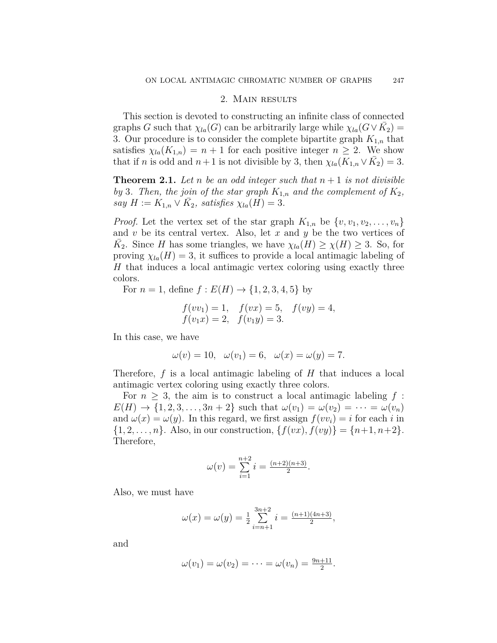#### 2. Main results

This section is devoted to constructing an infinite class of connected graphs *G* such that  $\chi_{la}(G)$  can be arbitrarily large while  $\chi_{la}(G \vee \overline{K_2}) =$ 3. Our procedure is to consider the complete bipartite graph  $K_{1,n}$  that satisfies  $\chi_{l}(\mathbf{K}_{1,n}) = n+1$  for each positive integer  $n \geq 2$ . We show that if *n* is odd and  $n+1$  is not divisible by 3, then  $\chi_{la}(K_{1,n} \vee \overline{K}_2) = 3$ .

<span id="page-2-0"></span>**Theorem 2.1.** Let *n* be an odd integer such that  $n+1$  is not divisible *by* 3*. Then, the join of the star graph*  $K_{1,n}$  *and the complement of*  $K_2$ *,*  $\sum_{i=1}^{\infty}$  *H* :=  $K_{1,n} \vee \overline{K}_2$ , satisfies  $\chi_{la}(H) = 3$ .

*Proof.* Let the vertex set of the star graph  $K_{1,n}$  be  $\{v, v_1, v_2, \ldots, v_n\}$ and *v* be its central vertex. Also, let *x* and *y* be the two vertices of  $\overline{K}_2$ . Since *H* has some triangles, we have  $\chi_{la}(H) \geq \chi(H) \geq 3$ . So, for proving  $\chi_{l}(\mathcal{H}) = 3$ , it suffices to provide a local antimagic labeling of *H* that induces a local antimagic vertex coloring using exactly three colors.

For  $n = 1$ , define  $f: E(H) \to \{1, 2, 3, 4, 5\}$  by

$$
f(vv_1) = 1
$$
,  $f(vx) = 5$ ,  $f(vy) = 4$ ,  
\n $f(v_1x) = 2$ ,  $f(v_1y) = 3$ .

In this case, we have

$$
\omega(v) = 10, \quad \omega(v_1) = 6, \quad \omega(x) = \omega(y) = 7.
$$

Therefore, *f* is a local antimagic labeling of *H* that induces a local antimagic vertex coloring using exactly three colors.

For  $n \geq 3$ , the aim is to construct a local antimagic labeling  $f$ :  $E(H) \to \{1, 2, 3, \ldots, 3n + 2\}$  such that  $\omega(v_1) = \omega(v_2) = \cdots = \omega(v_n)$ and  $\omega(x) = \omega(y)$ . In this regard, we first assign  $f(vv_i) = i$  for each *i* in  ${1, 2, ..., n}$ . Also, in our construction,  ${f(vx), f(vy)} = {n+1, n+2}$ . Therefore,

$$
\omega(v) = \sum_{i=1}^{n+2} i = \frac{(n+2)(n+3)}{2}.
$$

Also, we must have

$$
\omega(x) = \omega(y) = \frac{1}{2} \sum_{i=n+1}^{3n+2} i = \frac{(n+1)(4n+3)}{2},
$$

and

$$
\omega(v_1)=\omega(v_2)=\cdots=\omega(v_n)=\frac{9n+11}{2}.
$$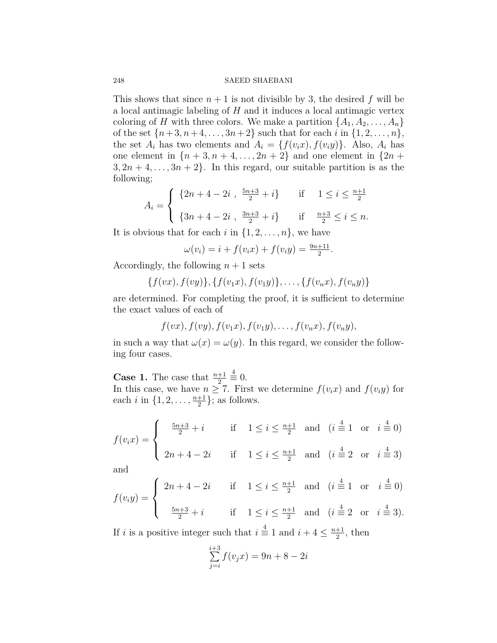## 248 SAEED SHAEBANI

This shows that since  $n+1$  is not divisible by 3, the desired f will be a local antimagic labeling of *H* and it induces a local antimagic vertex coloring of *H* with three colors. We make a partition  $\{A_1, A_2, \ldots, A_n\}$ of the set  $\{n+3, n+4, \ldots, 3n+2\}$  such that for each *i* in  $\{1, 2, \ldots, n\}$ , the set  $A_i$  has two elements and  $A_i = \{f(v_i x), f(v_i y)\}$ . Also,  $A_i$  has one element in  $\{n+3, n+4, \ldots, 2n+2\}$  and one element in  $\{2n+1, \ldots, n+2n+2\}$  $3, 2n + 4, \ldots, 3n + 2$ . In this regard, our suitable partition is as the following;

$$
A_i = \begin{cases} \{2n+4-2i, \frac{5n+3}{2}+i\} & \text{if } 1 \le i \le \frac{n+1}{2} \\ \{3n+4-2i, \frac{3n+3}{2}+i\} & \text{if } \frac{n+3}{2} \le i \le n. \end{cases}
$$

It is obvious that for each *i* in  $\{1, 2, \ldots, n\}$ , we have

$$
\omega(v_i) = i + f(v_i x) + f(v_i y) = \frac{9n + 11}{2}.
$$

Accordingly, the following  $n+1$  sets

$$
\{f(vx), f(vy)\}, \{f(v_1x), f(v_1y)\}, \ldots, \{f(v_nx), f(v_ny)\}\
$$

are determined. For completing the proof, it is sufficient to determine the exact values of each of

$$
f(vx), f(vy), f(v_1x), f(v_1y), \ldots, f(v_nx), f(v_ny),
$$

in such a way that  $\omega(x) = \omega(y)$ . In this regard, we consider the following four cases.

**Case 1.** The case that  $\frac{n+1}{2}$ 4 *≡* 0. In this case, we have  $n \geq 7$ . First we determine  $f(v_i x)$  and  $f(v_i y)$  for each *i* in  $\{1, 2, \ldots, \frac{n+1}{2}\}$  $\frac{+1}{2}$ ; as follows.

$$
f(v_i x) = \begin{cases} \frac{5n+3}{2} + i & \text{if } 1 \le i \le \frac{n+1}{2} \text{ and } (i = 1 \text{ or } i = 0) \\ 2n+4-2i & \text{if } 1 \le i \le \frac{n+1}{2} \text{ and } (i = 2 \text{ or } i = 3) \end{cases}
$$

and

$$
f(v_i y) = \begin{cases} 2n + 4 - 2i & \text{if } 1 \le i \le \frac{n+1}{2} \text{ and } (i = 1 \text{ or } i = 0) \\ \frac{5n+3}{2} + i & \text{if } 1 \le i \le \frac{n+1}{2} \text{ and } (i = 2 \text{ or } i = 3). \end{cases}
$$

If *i* is a positive integer such that  $i \stackrel{4}{\equiv} 1$  and  $i + 4 \leq \frac{n+1}{2}$  $\frac{+1}{2}$ , then

$$
\sum_{j=i}^{i+3} f(v_j x) = 9n + 8 - 2i
$$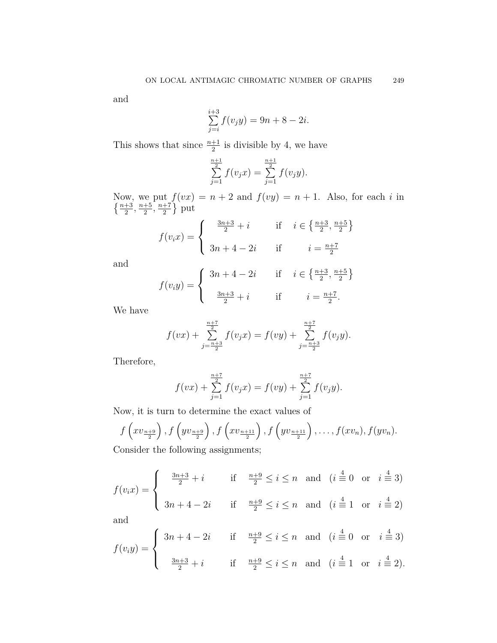and

$$
\sum_{j=i}^{i+3} f(v_j y) = 9n + 8 - 2i.
$$

This shows that since  $\frac{n+1}{2}$  is divisible by 4, we have

$$
\sum_{j=1}^{\frac{n+1}{2}} f(v_j x) = \sum_{j=1}^{\frac{n+1}{2}} f(v_j y).
$$

Now, we put  $f(vx) = n + 2$  and  $f(vy) = n + 1$ . Also, for each *i* in  $\left\{\frac{n+3}{2},\frac{n+5}{2}\right\}$  $\frac{+5}{2}, \frac{n+7}{2}$  $\frac{+7}{2}$  put

$$
f(v_i x) = \begin{cases} \frac{3n+3}{2} + i & \text{if } i \in \left\{ \frac{n+3}{2}, \frac{n+5}{2} \right\} \\ 3n+4-2i & \text{if } i = \frac{n+7}{2} \end{cases}
$$

and

$$
f(v_i y) = \begin{cases} 3n + 4 - 2i & \text{if } i \in \left\{\frac{n+3}{2}, \frac{n+5}{2}\right\} \\ \frac{3n+3}{2} + i & \text{if } i = \frac{n+7}{2}. \end{cases}
$$

We have

$$
f(vx) + \sum_{j=\frac{n+3}{2}}^{\frac{n+7}{2}} f(v_jx) = f(vy) + \sum_{j=\frac{n+3}{2}}^{\frac{n+7}{2}} f(v_jy).
$$

Therefore,

$$
f(vx) + \sum_{j=1}^{\frac{n+7}{2}} f(v_jx) = f(vy) + \sum_{j=1}^{\frac{n+7}{2}} f(v_jy).
$$

Now, it is turn to determine the exact values of

$$
f\left(xv_{\frac{n+9}{2}}\right), f\left(yv_{\frac{n+9}{2}}\right), f\left(xv_{\frac{n+11}{2}}\right), f\left(yv_{\frac{n+11}{2}}\right), \dots, f(xv_n), f(yv_n).
$$
  
Consider the following assignments:

Consider the following assignments;

$$
f(v_i x) = \begin{cases} \frac{3n+3}{2} + i & \text{if } \frac{n+9}{2} \le i \le n \text{ and } (i \stackrel{4}{\equiv} 0 \text{ or } i \stackrel{4}{\equiv} 3) \\ 3n+4-2i & \text{if } \frac{n+9}{2} \le i \le n \text{ and } (i \stackrel{4}{\equiv} 1 \text{ or } i \stackrel{4}{\equiv} 2) \end{cases}
$$

and

$$
f(v_iy) = \begin{cases} 3n+4-2i & \text{if } \frac{n+9}{2} \le i \le n \text{ and } (i \stackrel{4}{\equiv} 0 \text{ or } i \stackrel{4}{\equiv} 3) \\ \frac{3n+3}{2}+i & \text{if } \frac{n+9}{2} \le i \le n \text{ and } (i \stackrel{4}{\equiv} 1 \text{ or } i \stackrel{4}{\equiv} 2). \end{cases}
$$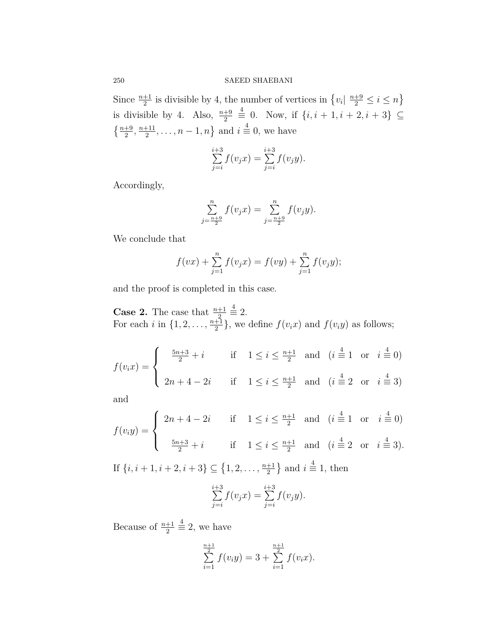Since  $\frac{n+1}{2}$  is divisible by 4, the number of vertices in  $\{v_i | \frac{n+9}{2} \le i \le n\}$ is divisible by 4. Also,  $\frac{n+9}{2}$ 4 *≡* 0. Now, if *{i, i* + 1*, i* + 2*, i* + 3*} ⊆*  $\left\{\frac{n+9}{2},\frac{n+11}{2}\right\}$  $\left\{ \frac{1}{2}, \ldots, n-1, n \right\}$  and  $i \stackrel{4}{\equiv} 0$ , we have

$$
\sum_{j=i}^{i+3} f(v_j x) = \sum_{j=i}^{i+3} f(v_j y).
$$

Accordingly,

$$
\sum_{j=\frac{n+9}{2}}^{n} f(v_j x) = \sum_{j=\frac{n+9}{2}}^{n} f(v_j y).
$$

We conclude that

$$
f(vx) + \sum_{j=1}^{n} f(v_jx) = f(vy) + \sum_{j=1}^{n} f(v_jy);
$$

and the proof is completed in this case.

**Case 2.** The case that  $\frac{n+1}{2}$  $\stackrel{4}{\equiv} 2.$ For each *i* in  $\{1, 2, \ldots, \frac{n+1}{2}\}$  $\frac{+1}{2}$ , we define  $f(v_i x)$  and  $f(v_i y)$  as follows;

$$
f(v_i x) = \begin{cases} \frac{5n+3}{2} + i & \text{if } 1 \le i \le \frac{n+1}{2} \text{ and } (i = 1 \text{ or } i = 0) \\ 2n+4-2i & \text{if } 1 \le i \le \frac{n+1}{2} \text{ and } (i = 2 \text{ or } i = 3) \end{cases}
$$

and

$$
f(v_iy) = \begin{cases} 2n+4-2i & \text{if } 1 \le i \le \frac{n+1}{2} \text{ and } (i \stackrel{4}{\equiv} 1 \text{ or } i \stackrel{4}{\equiv} 0) \\ \frac{5n+3}{2}+i & \text{if } 1 \le i \le \frac{n+1}{2} \text{ and } (i \stackrel{4}{\equiv} 2 \text{ or } i \stackrel{4}{\equiv} 3). \end{cases}
$$
  
If  $\{i, i+1, i+2, i+3\} \subseteq \{1, 2, ..., \frac{n+1}{2}\}$  and  $i \stackrel{4}{\equiv} 1$ , then  

$$
\sum_{j=i}^{i+3} f(v_jx) = \sum_{j=i}^{i+3} f(v_jy).
$$

Because of  $\frac{n+1}{2}$  $\stackrel{4}{\equiv} 2$ , we have

$$
\sum_{i=1}^{\frac{n+1}{2}} f(v_i y) = 3 + \sum_{i=1}^{\frac{n+1}{2}} f(v_i x).
$$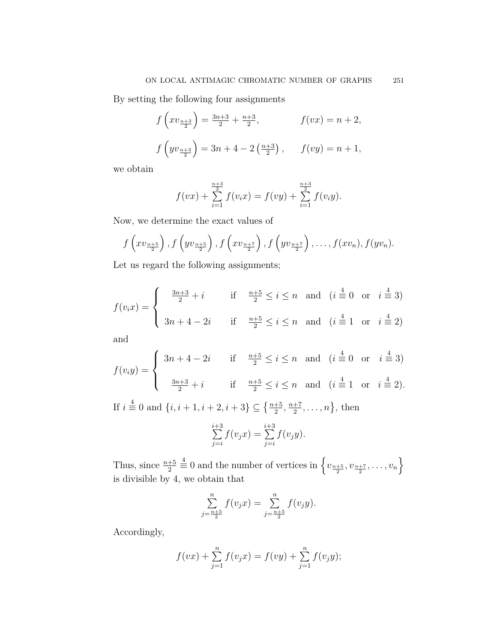By setting the following four assignments

$$
f\left(xv_{\frac{n+3}{2}}\right) = \frac{3n+3}{2} + \frac{n+3}{2}, \qquad f(vx) = n+2,
$$
  

$$
f\left(yv_{\frac{n+3}{2}}\right) = 3n+4-2\left(\frac{n+3}{2}\right), \qquad f(vy) = n+1,
$$

we obtain

$$
f(vx) + \sum_{i=1}^{\frac{n+3}{2}} f(v_ix) = f(vy) + \sum_{i=1}^{\frac{n+3}{2}} f(v_iy).
$$

Now, we determine the exact values of

$$
f\left(xv_{\frac{n+5}{2}}\right), f\left(yv_{\frac{n+5}{2}}\right), f\left(xv_{\frac{n+7}{2}}\right), f\left(yv_{\frac{n+7}{2}}\right), \ldots, f(xv_n), f(yv_n).
$$

Let us regard the following assignments;

$$
f(v_i x) = \begin{cases} \frac{3n+3}{2} + i & \text{if } \frac{n+5}{2} \le i \le n \text{ and } (i \stackrel{4}{\equiv} 0 \text{ or } i \stackrel{4}{\equiv} 3) \\ 3n+4-2i & \text{if } \frac{n+5}{2} \le i \le n \text{ and } (i \stackrel{4}{\equiv} 1 \text{ or } i \stackrel{4}{\equiv} 2) \end{cases}
$$

and

$$
f(v_iy) = \begin{cases} 3n+4-2i & \text{if } \frac{n+5}{2} \le i \le n \text{ and } (i \stackrel{4}{\equiv} 0 \text{ or } i \stackrel{4}{\equiv} 3) \\ \frac{3n+3}{2} + i & \text{if } \frac{n+5}{2} \le i \le n \text{ and } (i \stackrel{4}{\equiv} 1 \text{ or } i \stackrel{4}{\equiv} 2). \end{cases}
$$

If  $i \stackrel{4}{\equiv} 0$  and  $\{i, i + 1, i + 2, i + 3\} \subseteq \{\frac{n+5}{2}, \frac{n+7}{2}$  $\frac{+7}{2}, \ldots, n\},\$  then

$$
\sum_{j=i}^{i+3} f(v_j x) = \sum_{j=i}^{i+3} f(v_j y).
$$

Thus, since  $\frac{n+5}{2}$  $\stackrel{4}{\equiv} 0$  and the number of vertices in  $\left\{v_{\frac{n+5}{2}}, v_{\frac{n+7}{2}}, \ldots, v_n\right\}$ is divisible by 4, we obtain that

$$
\sum_{j=\frac{n+5}{2}}^{n} f(v_j x) = \sum_{j=\frac{n+5}{2}}^{n} f(v_j y).
$$

Accordingly,

$$
f(vx) + \sum_{j=1}^{n} f(v_jx) = f(vy) + \sum_{j=1}^{n} f(v_jy);
$$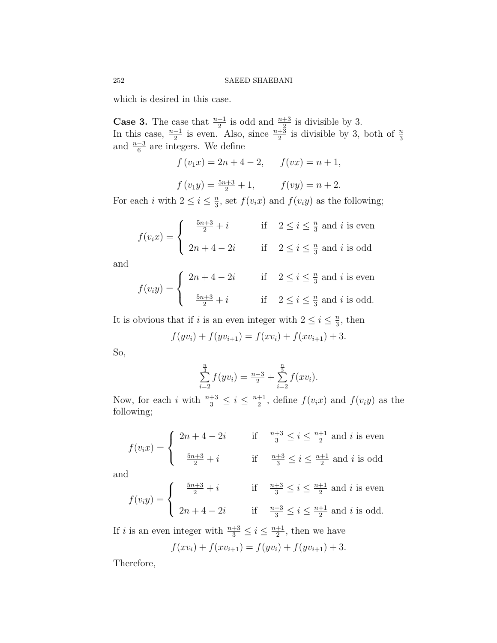which is desired in this case.

**Case 3.** The case that  $\frac{n+1}{2}$  is odd and  $\frac{n+3}{2}$  is divisible by 3. In this case,  $\frac{n-1}{2}$  is even. Also, since  $\frac{n+3}{2}$  is divisible by 3, both of  $\frac{n}{3}$  and  $\frac{n-3}{6}$  are integers. We define

 $f(v_1x) = 2n + 4 - 2$ ,  $f(vx) = n + 1$ ,

 $f(v_1y) = \frac{5n+3}{2} + 1,$   $f(vy) = n + 2.$ 

For each *i* with  $2 \leq i \leq \frac{n}{3}$  $\frac{n}{3}$ , set  $f(v_i x)$  and  $f(v_i y)$  as the following;

$$
f(v_i x) = \begin{cases} \frac{5n+3}{2} + i & \text{if } 2 \le i \le \frac{n}{3} \text{ and } i \text{ is even} \\ 2n+4-2i & \text{if } 2 \le i \le \frac{n}{3} \text{ and } i \text{ is odd} \end{cases}
$$

and

$$
f(v_i y) = \begin{cases} 2n + 4 - 2i & \text{if } 2 \le i \le \frac{n}{3} \text{ and } i \text{ is even} \\ \frac{5n + 3}{2} + i & \text{if } 2 \le i \le \frac{n}{3} \text{ and } i \text{ is odd.} \end{cases}
$$

It is obvious that if *i* is an even integer with  $2 \leq i \leq \frac{n}{3}$  $\frac{n}{3}$ , then

$$
f(yv_i) + f(yv_{i+1}) = f(xv_i) + f(xv_{i+1}) + 3.
$$

So,

$$
\sum_{i=2}^{\frac{n}{3}} f(yv_i) = \frac{n-3}{2} + \sum_{i=2}^{\frac{n}{3}} f(xv_i).
$$

Now, for each *i* with  $\frac{n+3}{3} \leq i \leq \frac{n+1}{2}$  $\frac{+1}{2}$ , define  $f(v_i x)$  and  $f(v_i y)$  as the following;

$$
f(v_i x) = \begin{cases} 2n+4-2i & \text{if } \frac{n+3}{3} \le i \le \frac{n+1}{2} \text{ and } i \text{ is even} \\ \frac{5n+3}{2}+i & \text{if } \frac{n+3}{3} \le i \le \frac{n+1}{2} \text{ and } i \text{ is odd} \end{cases}
$$

and

$$
f(v_iy) = \begin{cases} \frac{5n+3}{2} + i & \text{if } \frac{n+3}{3} \le i \le \frac{n+1}{2} \text{ and } i \text{ is even} \\ 2n+4-2i & \text{if } \frac{n+3}{3} \le i \le \frac{n+1}{2} \text{ and } i \text{ is odd.} \end{cases}
$$

If *i* is an even integer with  $\frac{n+3}{3} \leq i \leq \frac{n+1}{2}$  $\frac{+1}{2}$ , then we have

$$
f(xv_i) + f(xv_{i+1}) = f(yv_i) + f(yv_{i+1}) + 3.
$$

Therefore,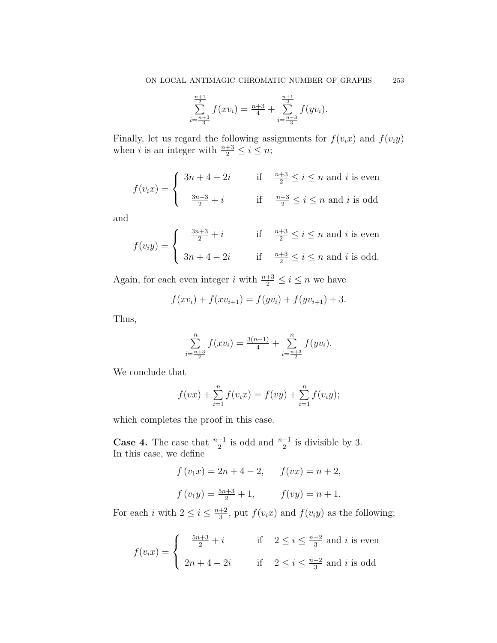$$
\sum_{i=\frac{n+3}{3}}^{\frac{n+1}{2}} f(xv_i) = \frac{n+3}{4} + \sum_{i=\frac{n+3}{3}}^{\frac{n+1}{2}} f(yv_i).
$$

Finally, let us regard the following assignments for  $f(v_i x)$  and  $f(v_i y)$ when *i* is an integer with  $\frac{n+3}{2} \leq i \leq n$ ;

$$
f(v_i x) = \begin{cases} 3n+4-2i & \text{if } \frac{n+3}{2} \le i \le n \text{ and } i \text{ is even} \\ \frac{3n+3}{2}+i & \text{if } \frac{n+3}{2} \le i \le n \text{ and } i \text{ is odd} \end{cases}
$$

and

$$
f(v_iy) = \begin{cases} \frac{3n+3}{2} + i & \text{if } \frac{n+3}{2} \le i \le n \text{ and } i \text{ is even} \\ 3n+4-2i & \text{if } \frac{n+3}{2} \le i \le n \text{ and } i \text{ is odd.} \end{cases}
$$

Again, for each even integer *i* with  $\frac{n+3}{2} \le i \le n$  we have

$$
f(xv_i) + f(xv_{i+1}) = f(yv_i) + f(yv_{i+1}) + 3.
$$

Thus,

$$
\sum_{i=\frac{n+3}{2}}^{n} f(xv_i) = \frac{3(n-1)}{4} + \sum_{i=\frac{n+3}{2}}^{n} f(yv_i).
$$

We conclude that

$$
f(vx) + \sum_{i=1}^{n} f(v_i x) = f(vy) + \sum_{i=1}^{n} f(v_i y);
$$

which completes the proof in this case.

**Case 4.** The case that  $\frac{n+1}{2}$  is odd and  $\frac{n-1}{2}$  is divisible by 3. In this case, we define

$$
f(v_1x) = 2n + 4 - 2,
$$
  $f(vx) = n + 2,$   
 $f(v_1y) = \frac{5n+3}{2} + 1,$   $f(vy) = n + 1.$ 

For each *i* with  $2 \leq i \leq \frac{n+2}{3}$  $\frac{+2}{3}$ , put  $f(v_i x)$  and  $f(v_i y)$  as the following;

$$
f(v_i x) = \begin{cases} \frac{5n+3}{2} + i & \text{if } 2 \le i \le \frac{n+2}{3} \text{ and } i \text{ is even} \\ 2n+4-2i & \text{if } 2 \le i \le \frac{n+2}{3} \text{ and } i \text{ is odd} \end{cases}
$$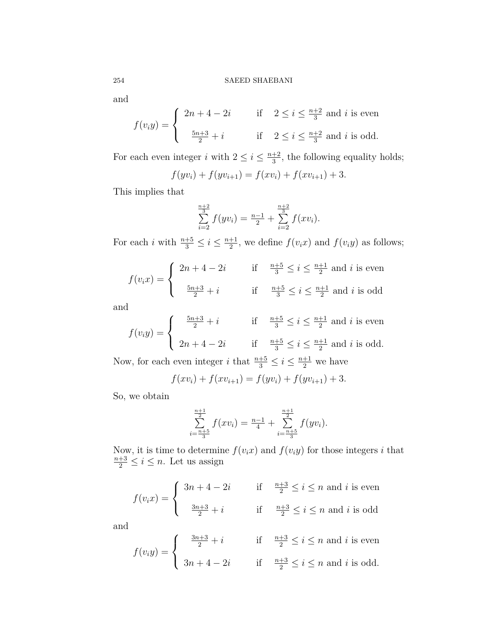and

$$
f(v_iy) = \begin{cases} 2n+4-2i & \text{if } 2 \le i \le \frac{n+2}{3} \text{ and } i \text{ is even} \\ \frac{5n+3}{2}+i & \text{if } 2 \le i \le \frac{n+2}{3} \text{ and } i \text{ is odd.} \end{cases}
$$

For each even integer *i* with  $2 \leq i \leq \frac{n+2}{3}$  $\frac{+2}{3}$ , the following equality holds;

$$
f(yv_i) + f(yv_{i+1}) = f(xv_i) + f(xv_{i+1}) + 3.
$$

This implies that

$$
\sum_{i=2}^{\frac{n+2}{3}} f(yv_i) = \frac{n-1}{2} + \sum_{i=2}^{\frac{n+2}{3}} f(xv_i).
$$

For each *i* with  $\frac{n+5}{3} \leq i \leq \frac{n+1}{2}$  $\frac{+1}{2}$ , we define  $f(v_i x)$  and  $f(v_i y)$  as follows;

$$
f(v_i x) = \begin{cases} 2n+4-2i & \text{if } \frac{n+5}{3} \le i \le \frac{n+1}{2} \text{ and } i \text{ is even} \\ \frac{5n+3}{2}+i & \text{if } \frac{n+5}{3} \le i \le \frac{n+1}{2} \text{ and } i \text{ is odd} \end{cases}
$$

and

$$
f(v_iy) = \begin{cases} \frac{5n+3}{2} + i & \text{if } \frac{n+5}{3} \le i \le \frac{n+1}{2} \text{ and } i \text{ is even} \\ 2n+4-2i & \text{if } \frac{n+5}{3} \le i \le \frac{n+1}{2} \text{ and } i \text{ is odd.} \end{cases}
$$

Now, for each even integer *i* that  $\frac{n+5}{3} \le i \le \frac{n+1}{2}$  we have

$$
f(xv_i) + f(xv_{i+1}) = f(yv_i) + f(yv_{i+1}) + 3.
$$

So, we obtain

$$
\sum_{i=\frac{n+5}{3}}^{\frac{n+1}{2}} f(xv_i) = \frac{n-1}{4} + \sum_{i=\frac{n+5}{3}}^{\frac{n+1}{2}} f(yv_i).
$$

Now, it is time to determine  $f(v_i x)$  and  $f(v_i y)$  for those integers *i* that  $\frac{n+3}{2} \leq i \leq n$ . Let us assign

$$
f(v_i x) = \begin{cases} 3n + 4 - 2i & \text{if } \frac{n+3}{2} \le i \le n \text{ and } i \text{ is even} \\ \frac{3n+3}{2} + i & \text{if } \frac{n+3}{2} \le i \le n \text{ and } i \text{ is odd} \end{cases}
$$

and

$$
f(v_iy) = \begin{cases} \frac{3n+3}{2} + i & \text{if } \frac{n+3}{2} \le i \le n \text{ and } i \text{ is even} \\ 3n+4-2i & \text{if } \frac{n+3}{2} \le i \le n \text{ and } i \text{ is odd.} \end{cases}
$$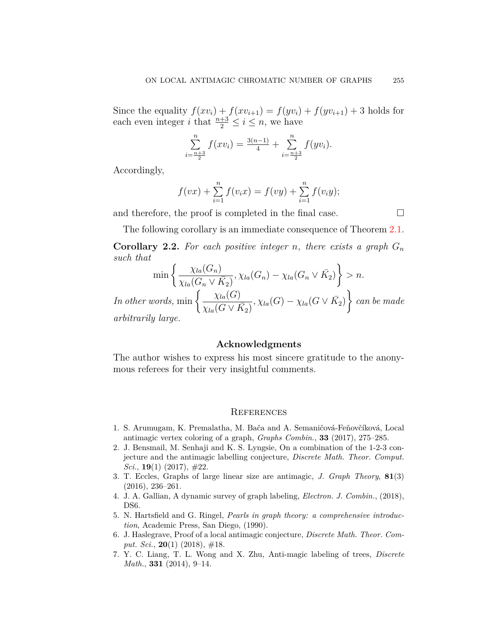Since the equality  $f(xv_i) + f(xv_{i+1}) = f(yv_i) + f(yv_{i+1}) + 3$  holds for each even integer *i* that  $\frac{n+3}{2} \le i \le n$ , we have

$$
\sum_{i=\frac{n+3}{2}}^{n} f(xv_i) = \frac{3(n-1)}{4} + \sum_{i=\frac{n+3}{2}}^{n} f(yv_i).
$$

Accordingly,

$$
f(vx) + \sum_{i=1}^{n} f(v_i x) = f(vy) + \sum_{i=1}^{n} f(v_i y);
$$

and therefore, the proof is completed in the final case.  $\Box$ 

The following corollary is an immediate consequence of Theorem [2.1.](#page-2-0)

**Corollary 2.2.** For each positive integer *n*, there exists a graph  $G_n$ *such that*

$$
\min \left\{ \frac{\chi_{la}(G_n)}{\chi_{la}(G_n \vee \overline{K_2})}, \chi_{la}(G_n) - \chi_{la}(G_n \vee \overline{K_2}) \right\} > n.
$$
  
In other words, 
$$
\min \left\{ \frac{\chi_{la}(G)}{\chi_{la}(G \vee \overline{K_2})}, \chi_{la}(G) - \chi_{la}(G \vee \overline{K_2}) \right\} can be made arbitrarily large.
$$

## **Acknowledgments**

The author wishes to express his most sincere gratitude to the anonymous referees for their very insightful comments.

#### **REFERENCES**

- <span id="page-10-4"></span>1. S. Arumugam, K. Premalatha, M. Bača and A. Semaničová-Feňovčíková, Local antimagic vertex coloring of a graph, *Graphs Combin.*, **33** (2017), 275–285.
- <span id="page-10-5"></span>2. J. Bensmail, M. Senhaji and K. S. Lyngsie, On a combination of the 1-2-3 conjecture and the antimagic labelling conjecture, *Discrete Math. Theor. Comput. Sci.*, **19**(1) (2017), #22.
- <span id="page-10-2"></span>3. T. Eccles, Graphs of large linear size are antimagic, *J. Graph Theory*, **81**(3) (2016), 236–261.
- <span id="page-10-3"></span>4. J. A. Gallian, A dynamic survey of graph labeling, *Electron. J. Combin.*, (2018), DS6.
- <span id="page-10-0"></span>5. N. Hartsfield and G. Ringel, *Pearls in graph theory: a comprehensive introduction*, Academic Press, San Diego, (1990).
- <span id="page-10-6"></span>6. J. Haslegrave, Proof of a local antimagic conjecture, *Discrete Math. Theor. Comput. Sci.*, **20**(1) (2018), #18.
- <span id="page-10-1"></span>7. Y. C. Liang, T. L. Wong and X. Zhu, Anti-magic labeling of trees, *Discrete Math.*, **331** (2014), 9–14.